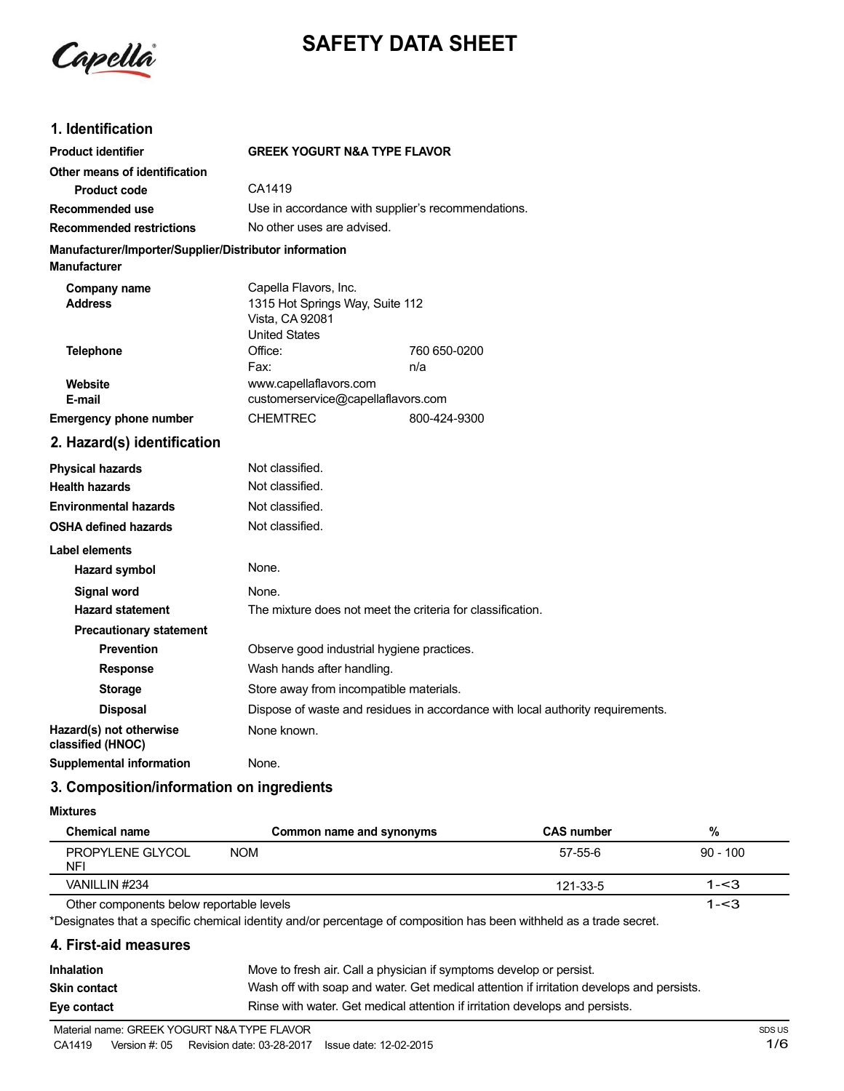

# **SAFETY DATA SHEET**

## **1. Identification**

| <b>Product identifier</b>                                                     | <b>GREEK YOGURT N&amp;A TYPE FLAVOR</b>                                                             |              |  |
|-------------------------------------------------------------------------------|-----------------------------------------------------------------------------------------------------|--------------|--|
| Other means of identification                                                 |                                                                                                     |              |  |
| <b>Product code</b>                                                           | CA1419                                                                                              |              |  |
| Recommended use                                                               | Use in accordance with supplier's recommendations.                                                  |              |  |
| <b>Recommended restrictions</b>                                               | No other uses are advised.                                                                          |              |  |
| Manufacturer/Importer/Supplier/Distributor information<br><b>Manufacturer</b> |                                                                                                     |              |  |
| Company name<br><b>Address</b>                                                | Capella Flavors, Inc.<br>1315 Hot Springs Way, Suite 112<br>Vista, CA 92081<br><b>United States</b> |              |  |
| <b>Telephone</b>                                                              | Office:                                                                                             | 760 650-0200 |  |
|                                                                               | Fax:                                                                                                | n/a          |  |
| Website<br>E-mail                                                             | www.capellaflavors.com<br>customerservice@capellaflavors.com                                        |              |  |
| <b>Emergency phone number</b>                                                 | <b>CHEMTREC</b>                                                                                     | 800-424-9300 |  |
|                                                                               |                                                                                                     |              |  |
| 2. Hazard(s) identification                                                   |                                                                                                     |              |  |
| <b>Physical hazards</b>                                                       | Not classified.                                                                                     |              |  |
| <b>Health hazards</b>                                                         | Not classified.                                                                                     |              |  |
| <b>Environmental hazards</b>                                                  | Not classified.                                                                                     |              |  |
| <b>OSHA defined hazards</b>                                                   | Not classified.                                                                                     |              |  |
| Label elements                                                                |                                                                                                     |              |  |
| <b>Hazard symbol</b>                                                          | None.                                                                                               |              |  |
| <b>Signal word</b>                                                            | None.                                                                                               |              |  |
| <b>Hazard statement</b>                                                       | The mixture does not meet the criteria for classification.                                          |              |  |
| <b>Precautionary statement</b>                                                |                                                                                                     |              |  |
| <b>Prevention</b>                                                             | Observe good industrial hygiene practices.                                                          |              |  |
| <b>Response</b>                                                               | Wash hands after handling.                                                                          |              |  |
| <b>Storage</b>                                                                | Store away from incompatible materials.                                                             |              |  |
| <b>Disposal</b>                                                               | Dispose of waste and residues in accordance with local authority requirements.                      |              |  |
| Hazard(s) not otherwise<br>classified (HNOC)                                  | None known.                                                                                         |              |  |
| <b>Supplemental information</b>                                               | None.                                                                                               |              |  |

# **3. Composition/information on ingredients**

#### **Mixtures**

| Chemical name                            | Common name and synonyms | <b>CAS number</b> | %          |
|------------------------------------------|--------------------------|-------------------|------------|
| PROPYLENE GLYCOL<br>NFI                  | <b>NOM</b>               | $57-55-6$         | $90 - 100$ |
| VANILLIN #234                            |                          | 121-33-5          | 1-<3       |
| Other components below reportable levels |                          |                   | 1-<3       |

\*Designates that a specific chemical identity and/or percentage of composition has been withheld as a trade secret.

### **4. First-aid measures**

| <b>Inhalation</b>   | Move to fresh air. Call a physician if symptoms develop or persist.                      |
|---------------------|------------------------------------------------------------------------------------------|
| <b>Skin contact</b> | Wash off with soap and water. Get medical attention if irritation develops and persists. |
| Eye contact         | Rinse with water. Get medical attention if irritation develops and persists.             |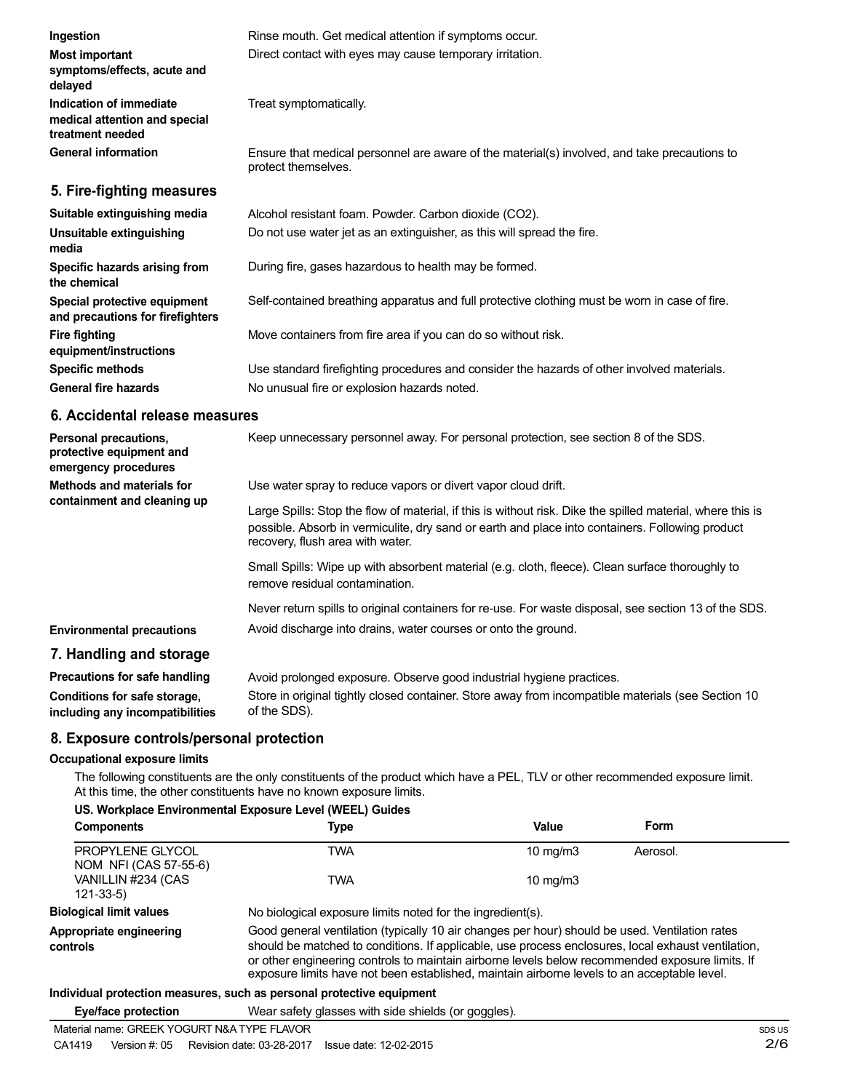| Ingestion                                                                    | Rinse mouth. Get medical attention if symptoms occur.                                                               |  |  |
|------------------------------------------------------------------------------|---------------------------------------------------------------------------------------------------------------------|--|--|
| <b>Most important</b><br>symptoms/effects, acute and<br>delayed              | Direct contact with eyes may cause temporary irritation.                                                            |  |  |
| Indication of immediate<br>medical attention and special<br>treatment needed | Treat symptomatically.                                                                                              |  |  |
| <b>General information</b>                                                   | Ensure that medical personnel are aware of the material(s) involved, and take precautions to<br>protect themselves. |  |  |
| 5. Fire-fighting measures                                                    |                                                                                                                     |  |  |
| Suitable extinguishing media                                                 | Alcohol resistant foam. Powder. Carbon dioxide (CO2).                                                               |  |  |
| Unsuitable extinguishing<br>media                                            | Do not use water jet as an extinguisher, as this will spread the fire.                                              |  |  |
| Specific hazards arising from<br>the chemical                                | During fire, gases hazardous to health may be formed.                                                               |  |  |

Self-contained breathing apparatus and full protective clothing must be worn in case of fire.

Move containers from fire area if you can do so without risk.

Use standard firefighting procedures and consider the hazards of other involved materials. No unusual fire or explosion hazards noted.

#### **6. Accidental release measures**

**Special protective equipment and precautions for firefighters**

**equipment/instructions Specific methods General fire hazards**

**Fire fighting**

| Personal precautions,<br>protective equipment and<br>emergency procedures | Keep unnecessary personnel away. For personal protection, see section 8 of the SDS.                                                                                                                                                               |
|---------------------------------------------------------------------------|---------------------------------------------------------------------------------------------------------------------------------------------------------------------------------------------------------------------------------------------------|
| Methods and materials for<br>containment and cleaning up                  | Use water spray to reduce vapors or divert vapor cloud drift.                                                                                                                                                                                     |
|                                                                           | Large Spills: Stop the flow of material, if this is without risk. Dike the spilled material, where this is<br>possible. Absorb in vermiculite, dry sand or earth and place into containers. Following product<br>recovery, flush area with water. |
|                                                                           | Small Spills: Wipe up with absorbent material (e.g. cloth, fleece). Clean surface thoroughly to<br>remove residual contamination.                                                                                                                 |
|                                                                           | Never return spills to original containers for re-use. For waste disposal, see section 13 of the SDS.                                                                                                                                             |
| <b>Environmental precautions</b>                                          | Avoid discharge into drains, water courses or onto the ground.                                                                                                                                                                                    |
| 7. Handling and storage                                                   |                                                                                                                                                                                                                                                   |
|                                                                           |                                                                                                                                                                                                                                                   |

| Precautions for safe handling   | Avoid prolonged exposure. Observe good industrial hygiene practices.                               |
|---------------------------------|----------------------------------------------------------------------------------------------------|
| Conditions for safe storage,    | Store in original tightly closed container. Store away from incompatible materials (see Section 10 |
| including any incompatibilities | of the SDS).                                                                                       |

# **8. Exposure controls/personal protection**

#### **Occupational exposure limits**

The following constituents are the only constituents of the product which have a PEL, TLV or other recommended exposure limit. At this time, the other constituents have no known exposure limits.

#### **US. Workplace Environmental Exposure Level (WEEL) Guides**

| <b>Components</b>                         | Type                                                                                                                                                                                                                                                                                                                                                                                                   | Value             | Form     |
|-------------------------------------------|--------------------------------------------------------------------------------------------------------------------------------------------------------------------------------------------------------------------------------------------------------------------------------------------------------------------------------------------------------------------------------------------------------|-------------------|----------|
| PROPYLENE GLYCOL<br>NOM NFI (CAS 57-55-6) | TWA                                                                                                                                                                                                                                                                                                                                                                                                    | $10 \text{ mg/m}$ | Aerosol. |
| VANILLIN #234 (CAS<br>$121 - 33 - 5$      | TWA                                                                                                                                                                                                                                                                                                                                                                                                    | 10 $mq/m3$        |          |
| <b>Biological limit values</b>            | No biological exposure limits noted for the ingredient(s).                                                                                                                                                                                                                                                                                                                                             |                   |          |
| Appropriate engineering<br>controls       | Good general ventilation (typically 10 air changes per hour) should be used. Ventilation rates<br>should be matched to conditions. If applicable, use process enclosures, local exhaust ventilation,<br>or other engineering controls to maintain airborne levels below recommended exposure limits. If<br>exposure limits have not been established, maintain airborne levels to an acceptable level. |                   |          |
|                                           |                                                                                                                                                                                                                                                                                                                                                                                                        |                   |          |

#### **Individual protection measures, such as personal protective equipment**

**Eye/face protection** Wear safety glasses with side shields (or goggles).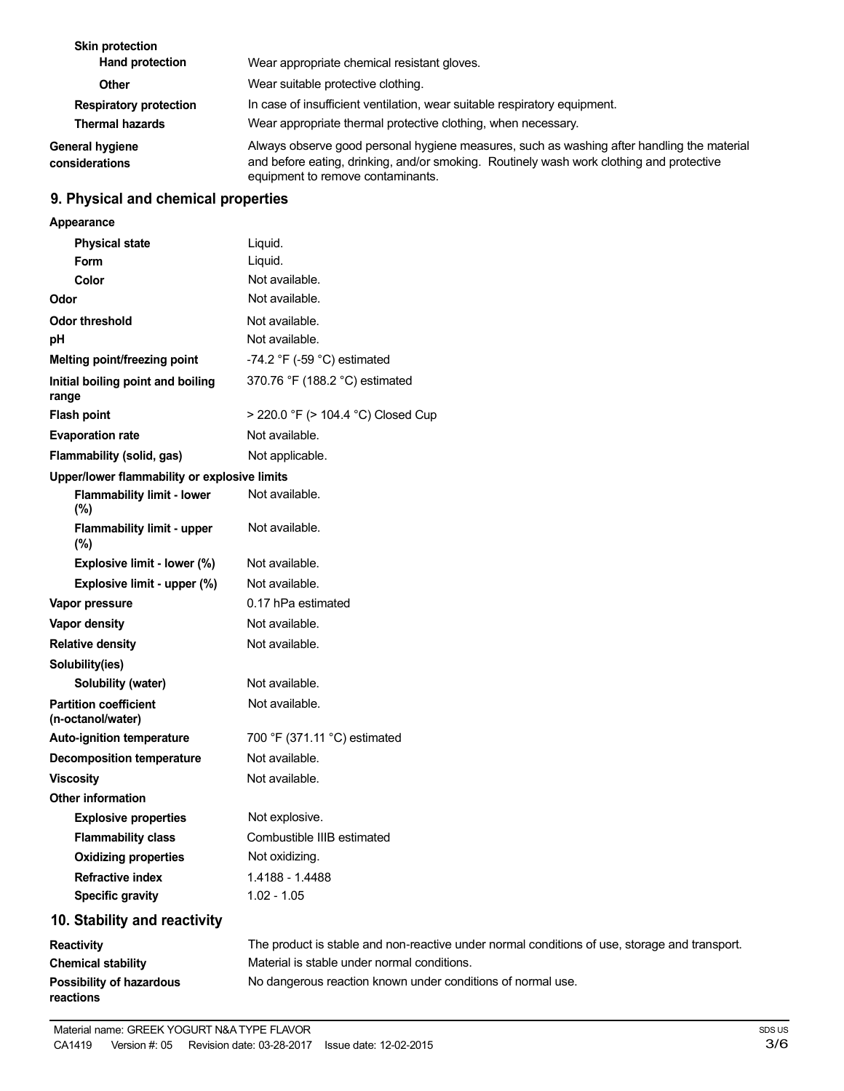| <b>Skin protection</b><br><b>Hand protection</b> | Wear appropriate chemical resistant gloves.                                                                                                                                                                                 |
|--------------------------------------------------|-----------------------------------------------------------------------------------------------------------------------------------------------------------------------------------------------------------------------------|
| Other                                            | Wear suitable protective clothing.                                                                                                                                                                                          |
| <b>Respiratory protection</b>                    | In case of insufficient ventilation, wear suitable respiratory equipment.                                                                                                                                                   |
| <b>Thermal hazards</b>                           | Wear appropriate thermal protective clothing, when necessary.                                                                                                                                                               |
| General hygiene<br>considerations                | Always observe good personal hygiene measures, such as washing after handling the material<br>and before eating, drinking, and/or smoking. Routinely wash work clothing and protective<br>equipment to remove contaminants. |

# **9. Physical and chemical properties**

| Appearance                                        |                                                                                               |
|---------------------------------------------------|-----------------------------------------------------------------------------------------------|
| <b>Physical state</b>                             | Liquid.                                                                                       |
| Form                                              | Liquid.                                                                                       |
| Color                                             | Not available.                                                                                |
| Odor                                              | Not available.                                                                                |
| <b>Odor threshold</b>                             | Not available.                                                                                |
| pH                                                | Not available.                                                                                |
| Melting point/freezing point                      | -74.2 °F (-59 °C) estimated                                                                   |
| Initial boiling point and boiling<br>range        | 370.76 °F (188.2 °C) estimated                                                                |
| <b>Flash point</b>                                | > 220.0 °F (> 104.4 °C) Closed Cup                                                            |
| <b>Evaporation rate</b>                           | Not available.                                                                                |
| Flammability (solid, gas)                         | Not applicable.                                                                               |
| Upper/lower flammability or explosive limits      |                                                                                               |
| <b>Flammability limit - lower</b><br>$(\%)$       | Not available.                                                                                |
| <b>Flammability limit - upper</b><br>$(\%)$       | Not available.                                                                                |
| Explosive limit - lower (%)                       | Not available.                                                                                |
| Explosive limit - upper (%)                       | Not available.                                                                                |
| Vapor pressure                                    | 0.17 hPa estimated                                                                            |
| Vapor density                                     | Not available.                                                                                |
| <b>Relative density</b>                           | Not available.                                                                                |
| Solubility(ies)                                   |                                                                                               |
| Solubility (water)                                | Not available.                                                                                |
| <b>Partition coefficient</b><br>(n-octanol/water) | Not available.                                                                                |
| <b>Auto-ignition temperature</b>                  | 700 °F (371.11 °C) estimated                                                                  |
| <b>Decomposition temperature</b>                  | Not available.                                                                                |
| <b>Viscosity</b>                                  | Not available.                                                                                |
| <b>Other information</b>                          |                                                                                               |
| <b>Explosive properties</b>                       | Not explosive.                                                                                |
| <b>Flammability class</b>                         | Combustible IIIB estimated                                                                    |
| <b>Oxidizing properties</b>                       | Not oxidizing.                                                                                |
| <b>Refractive index</b>                           | 1.4188 - 1.4488                                                                               |
| <b>Specific gravity</b>                           | $1.02 - 1.05$                                                                                 |
| 10. Stability and reactivity                      |                                                                                               |
| Reactivity                                        | The product is stable and non-reactive under normal conditions of use, storage and transport. |
| <b>Chemical stability</b>                         | Material is stable under normal conditions.                                                   |
| <b>Possibility of hazardous</b>                   | No dangerous reaction known under conditions of normal use.                                   |

**reactions**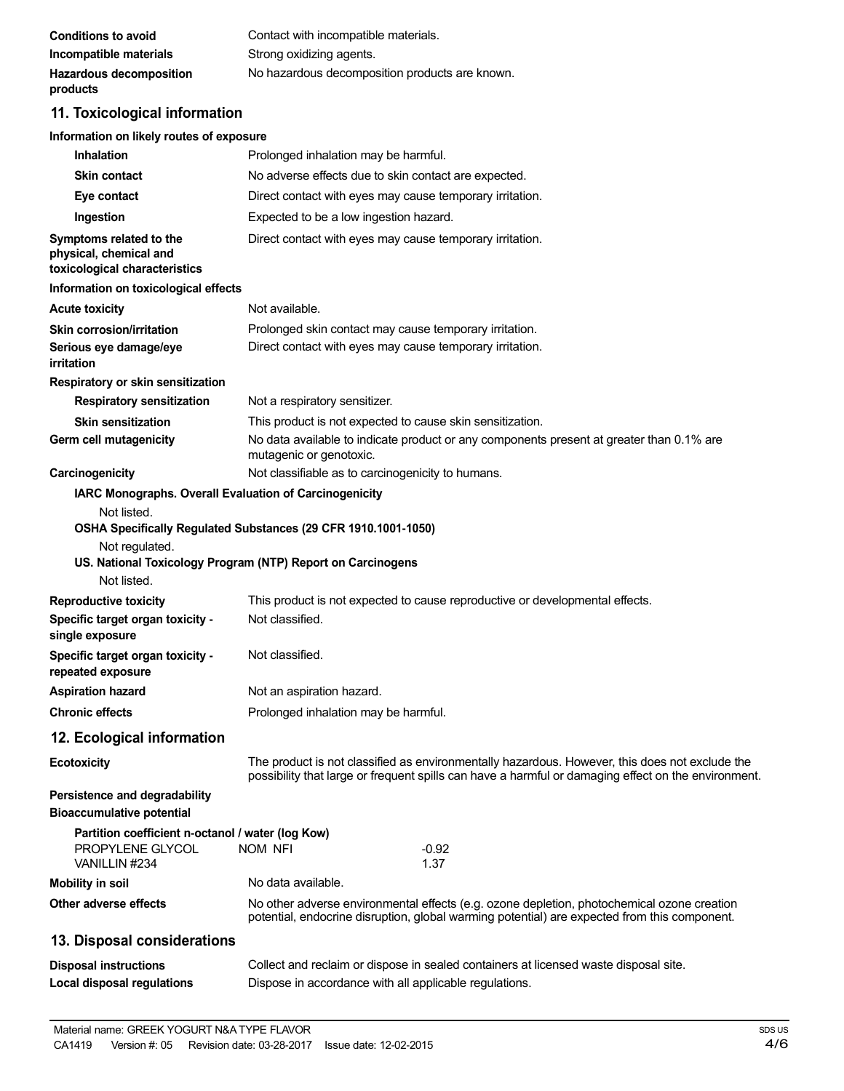| Conditions to avoid            | Contact with incompatible materials.           |
|--------------------------------|------------------------------------------------|
| Incompatible materials         | Strong oxidizing agents.                       |
| <b>Hazardous decomposition</b> | No hazardous decomposition products are known. |
| products                       |                                                |

# **11. Toxicological information**

| Information on likely routes of exposure                                               |                                                                                                                                                                                                       |  |  |
|----------------------------------------------------------------------------------------|-------------------------------------------------------------------------------------------------------------------------------------------------------------------------------------------------------|--|--|
| <b>Inhalation</b>                                                                      | Prolonged inhalation may be harmful.                                                                                                                                                                  |  |  |
| <b>Skin contact</b>                                                                    | No adverse effects due to skin contact are expected.                                                                                                                                                  |  |  |
| Eye contact                                                                            | Direct contact with eyes may cause temporary irritation.                                                                                                                                              |  |  |
| Ingestion                                                                              | Expected to be a low ingestion hazard.                                                                                                                                                                |  |  |
| Symptoms related to the<br>physical, chemical and<br>toxicological characteristics     | Direct contact with eyes may cause temporary irritation.                                                                                                                                              |  |  |
| Information on toxicological effects                                                   |                                                                                                                                                                                                       |  |  |
| <b>Acute toxicity</b>                                                                  | Not available.                                                                                                                                                                                        |  |  |
| Skin corrosion/irritation                                                              | Prolonged skin contact may cause temporary irritation.                                                                                                                                                |  |  |
| Serious eye damage/eye<br>irritation                                                   | Direct contact with eyes may cause temporary irritation.                                                                                                                                              |  |  |
| Respiratory or skin sensitization                                                      |                                                                                                                                                                                                       |  |  |
| <b>Respiratory sensitization</b>                                                       | Not a respiratory sensitizer.                                                                                                                                                                         |  |  |
| <b>Skin sensitization</b><br>Germ cell mutagenicity                                    | This product is not expected to cause skin sensitization.<br>No data available to indicate product or any components present at greater than 0.1% are<br>mutagenic or genotoxic.                      |  |  |
| Carcinogenicity                                                                        | Not classifiable as to carcinogenicity to humans.                                                                                                                                                     |  |  |
| IARC Monographs. Overall Evaluation of Carcinogenicity                                 |                                                                                                                                                                                                       |  |  |
| Not regulated.<br>Not listed.                                                          | OSHA Specifically Regulated Substances (29 CFR 1910.1001-1050)<br>US. National Toxicology Program (NTP) Report on Carcinogens                                                                         |  |  |
| <b>Reproductive toxicity</b>                                                           | This product is not expected to cause reproductive or developmental effects.                                                                                                                          |  |  |
| Specific target organ toxicity -<br>single exposure                                    | Not classified.                                                                                                                                                                                       |  |  |
| Specific target organ toxicity -<br>repeated exposure                                  | Not classified.                                                                                                                                                                                       |  |  |
| <b>Aspiration hazard</b>                                                               | Not an aspiration hazard.                                                                                                                                                                             |  |  |
| <b>Chronic effects</b>                                                                 | Prolonged inhalation may be harmful.                                                                                                                                                                  |  |  |
| 12. Ecological information                                                             |                                                                                                                                                                                                       |  |  |
| <b>Ecotoxicity</b>                                                                     | The product is not classified as environmentally hazardous. However, this does not exclude the<br>possibility that large or frequent spills can have a harmful or damaging effect on the environment. |  |  |
| Persistence and degradability<br><b>Bioaccumulative potential</b>                      |                                                                                                                                                                                                       |  |  |
| Partition coefficient n-octanol / water (log Kow)<br>PROPYLENE GLYCOL<br>VANILLIN #234 | NOM NFI<br>$-0.92$<br>1.37                                                                                                                                                                            |  |  |
| <b>Mobility in soil</b>                                                                | No data available.                                                                                                                                                                                    |  |  |
| Other adverse effects                                                                  | No other adverse environmental effects (e.g. ozone depletion, photochemical ozone creation<br>potential, endocrine disruption, global warming potential) are expected from this component.            |  |  |
| 13. Disposal considerations                                                            |                                                                                                                                                                                                       |  |  |
| <b>Disposal instructions</b><br><b>Local disposal regulations</b>                      | Collect and reclaim or dispose in sealed containers at licensed waste disposal site.<br>Dispose in accordance with all applicable regulations.                                                        |  |  |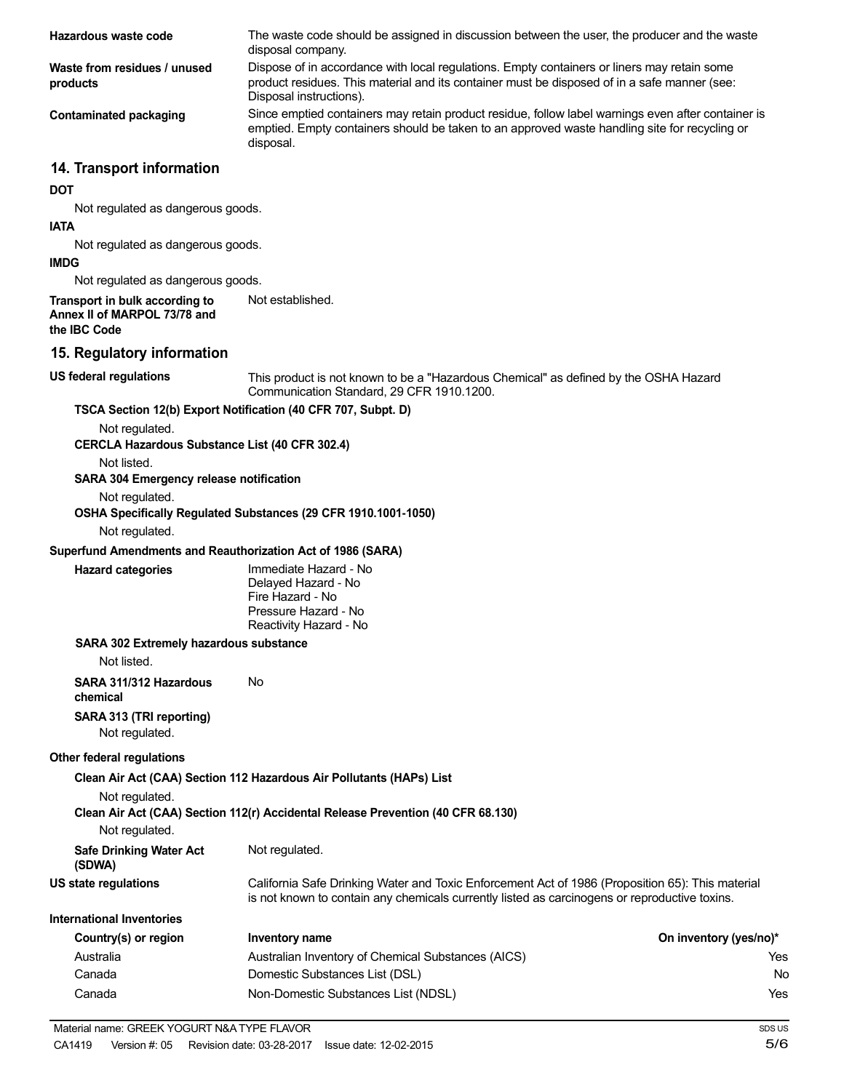| Hazardous waste code                                                           | The waste code should be assigned in discussion between the user, the producer and the waste                                                                                                                           |                        |
|--------------------------------------------------------------------------------|------------------------------------------------------------------------------------------------------------------------------------------------------------------------------------------------------------------------|------------------------|
|                                                                                | disposal company.                                                                                                                                                                                                      |                        |
| Waste from residues / unused<br>products                                       | Dispose of in accordance with local regulations. Empty containers or liners may retain some<br>product residues. This material and its container must be disposed of in a safe manner (see:<br>Disposal instructions). |                        |
| <b>Contaminated packaging</b>                                                  | Since emptied containers may retain product residue, follow label warnings even after container is<br>emptied. Empty containers should be taken to an approved waste handling site for recycling or<br>disposal.       |                        |
| 14. Transport information                                                      |                                                                                                                                                                                                                        |                        |
| <b>DOT</b>                                                                     |                                                                                                                                                                                                                        |                        |
| Not regulated as dangerous goods.                                              |                                                                                                                                                                                                                        |                        |
| <b>IATA</b>                                                                    |                                                                                                                                                                                                                        |                        |
| Not regulated as dangerous goods.                                              |                                                                                                                                                                                                                        |                        |
| <b>IMDG</b>                                                                    |                                                                                                                                                                                                                        |                        |
| Not regulated as dangerous goods.                                              | Not established.                                                                                                                                                                                                       |                        |
| Transport in bulk according to<br>Annex II of MARPOL 73/78 and<br>the IBC Code |                                                                                                                                                                                                                        |                        |
| 15. Regulatory information                                                     |                                                                                                                                                                                                                        |                        |
| <b>US federal regulations</b>                                                  | This product is not known to be a "Hazardous Chemical" as defined by the OSHA Hazard<br>Communication Standard, 29 CFR 1910.1200.                                                                                      |                        |
| TSCA Section 12(b) Export Notification (40 CFR 707, Subpt. D)                  |                                                                                                                                                                                                                        |                        |
| Not regulated.                                                                 |                                                                                                                                                                                                                        |                        |
| CERCLA Hazardous Substance List (40 CFR 302.4)                                 |                                                                                                                                                                                                                        |                        |
| Not listed.                                                                    |                                                                                                                                                                                                                        |                        |
| SARA 304 Emergency release notification                                        |                                                                                                                                                                                                                        |                        |
| Not regulated.                                                                 | OSHA Specifically Regulated Substances (29 CFR 1910.1001-1050)                                                                                                                                                         |                        |
| Not regulated.                                                                 |                                                                                                                                                                                                                        |                        |
| Superfund Amendments and Reauthorization Act of 1986 (SARA)                    |                                                                                                                                                                                                                        |                        |
| <b>Hazard categories</b>                                                       | Immediate Hazard - No                                                                                                                                                                                                  |                        |
|                                                                                | Delayed Hazard - No<br>Fire Hazard - No<br>Pressure Hazard - No<br>Reactivity Hazard - No                                                                                                                              |                        |
| SARA 302 Extremely hazardous substance                                         |                                                                                                                                                                                                                        |                        |
| Not listed.                                                                    |                                                                                                                                                                                                                        |                        |
| SARA 311/312 Hazardous<br>chemical                                             | No                                                                                                                                                                                                                     |                        |
| SARA 313 (TRI reporting)                                                       |                                                                                                                                                                                                                        |                        |
| Not regulated.                                                                 |                                                                                                                                                                                                                        |                        |
| <b>Other federal regulations</b>                                               |                                                                                                                                                                                                                        |                        |
|                                                                                | Clean Air Act (CAA) Section 112 Hazardous Air Pollutants (HAPs) List                                                                                                                                                   |                        |
| Not regulated.                                                                 |                                                                                                                                                                                                                        |                        |
|                                                                                | Clean Air Act (CAA) Section 112(r) Accidental Release Prevention (40 CFR 68.130)                                                                                                                                       |                        |
| Not regulated.                                                                 |                                                                                                                                                                                                                        |                        |
| <b>Safe Drinking Water Act</b><br>(SDWA)                                       | Not regulated.                                                                                                                                                                                                         |                        |
| <b>US state regulations</b>                                                    | California Safe Drinking Water and Toxic Enforcement Act of 1986 (Proposition 65): This material<br>is not known to contain any chemicals currently listed as carcinogens or reproductive toxins.                      |                        |
| <b>International Inventories</b>                                               |                                                                                                                                                                                                                        |                        |
| Country(s) or region                                                           | Inventory name                                                                                                                                                                                                         | On inventory (yes/no)* |
| Australia                                                                      | Australian Inventory of Chemical Substances (AICS)                                                                                                                                                                     | Yes                    |
| Canada                                                                         | Domestic Substances List (DSL)                                                                                                                                                                                         | No                     |
| Canada                                                                         | Non-Domestic Substances List (NDSL)                                                                                                                                                                                    | Yes                    |